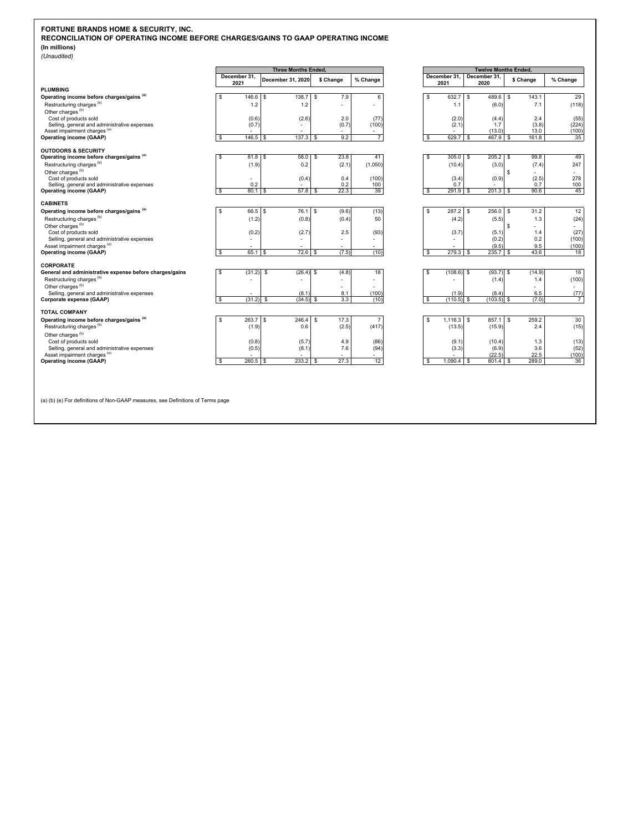# **FORTUNE BRANDS HOME & SECURITY, INC.**

**(In millions) RECONCILIATION OF OPERATING INCOME BEFORE CHARGES/GAINS TO GAAP OPERATING INCOME**

*(Unaudited)*

|                                                                          |               |                      | <b>Three Months Ended,</b> |          |            |                |                             |                       | <b>Twelve Months Ended,</b> |                        |
|--------------------------------------------------------------------------|---------------|----------------------|----------------------------|----------|------------|----------------|-----------------------------|-----------------------|-----------------------------|------------------------|
|                                                                          |               | December 31.<br>2021 | December 31, 2020          |          | \$ Change  | % Change       | December 31.<br>2021        | December 31.<br>2020  | \$ Change                   | % Change               |
| <b>PLUMBING</b>                                                          |               |                      |                            |          |            |                |                             |                       |                             |                        |
| Operating income before charges/gains (a)                                | \$            | 146.6                | 138.7<br>$\mathbf{s}$      | \$       | 7.9        | 6              | \$<br>632.7                 | 489.6<br>s.           | \$<br>143.1                 | 29                     |
| Restructuring charges <sup>(b)</sup>                                     |               | 1.2                  | 1.2                        |          |            | ٠              | 1.1                         | (6.0)                 | 7.1                         | (118)                  |
| Other charges <sup>(b)</sup>                                             |               |                      |                            |          |            |                |                             |                       |                             |                        |
| Cost of products sold                                                    |               | (0.6)                | (2.6)                      |          | 2.0        | (77)           | (2.0)                       | (4.4)                 | 2.4                         | (55)                   |
| Selling, general and administrative expenses                             |               | (0.7)                |                            |          | (0.7)      | (100)          | (2.1)                       | 1.7                   | (3.8)                       | (224)                  |
| Asset impairment charges (e)                                             |               |                      |                            |          |            | $\sim$         |                             | (13.0)                | 13.0                        | (100)                  |
| <b>Operating income (GAAP)</b>                                           | \$            | 146.5                | 137.3<br>\$                | \$       | 9.2        | $\overline{7}$ | \$<br>629.7                 | 467.9<br>s.           | \$<br>161.8                 | 35                     |
| <b>OUTDOORS &amp; SECURITY</b>                                           |               |                      |                            |          |            |                |                             |                       |                             |                        |
| Operating income before charges/gains (a)                                | -S            | $81.8$ \ \$          | 58.0                       | -S       | 23.8       | 41             | \$<br>$305.0$ \$            | $205.2$ \$            | 99.8                        | 49                     |
| Restructuring charges <sup>(b)</sup>                                     |               | (1.9)                | 0.2                        |          | (2.1)      | (1,050)        | (10.4)                      | (3.0)                 | (7.4)                       | 247                    |
| Other charges <sup>(b)</sup>                                             |               |                      |                            |          |            |                |                             |                       | \$                          |                        |
| Cost of products sold                                                    |               |                      | (0.4)                      |          | 0.4        | (100)          | (3.4)                       | (0.9)                 | (2.5)                       | 278                    |
| Selling, general and administrative expenses                             |               | 0.2                  |                            |          | 0.2        | 100            | 0.7                         |                       | 0.7                         | 100                    |
| <b>Operating income (GAAP)</b>                                           | <b>S</b>      | $80.1$ \$            | $57.8$ \$                  |          | 22.3       | 39             | \$<br>$291.9$ \$            | $201.3$ \$            | 90.6                        | 45                     |
| <b>CABINETS</b>                                                          |               |                      |                            |          |            |                |                             |                       |                             |                        |
| Operating income before charges/gains (a)                                | \$            | 66.5 \$              | 76.1                       | <b>S</b> | (9.6)      | (13)           | \$<br>287.2                 | 256.0<br>-S           | $\mathbf{\hat{s}}$<br>31.2  | 12                     |
| Restructuring charges <sup>(b)</sup>                                     |               |                      |                            |          | (0.4)      |                |                             |                       | 1.3                         |                        |
| Other charges <sup>(b)</sup>                                             |               | (1.2)                | (0.8)                      |          |            | 50             | (4.2)                       | (5.5)                 | \$                          | (24)                   |
| Cost of products sold                                                    |               | (0.2)                | (2.7)                      |          | 2.5        | (93)           | (3.7)                       | (5.1)                 | 1.4                         | (27)                   |
| Selling, general and administrative expenses                             |               |                      |                            |          |            | ٠              |                             | (0.2)                 | 0.2                         | (100)                  |
| Asset impairment charges (e)                                             |               |                      |                            |          |            |                |                             | (9.5)                 | 9.5                         | (100)                  |
| <b>Operating income (GAAP)</b>                                           | <b>S</b>      | $65.1$ \$            | $72.6$ \ \$                |          | (7.5)      | (10)           | \$<br>$279.3$ \$            | 235.7                 | 43.6<br>- \$                | 18                     |
|                                                                          |               |                      |                            |          |            |                |                             |                       |                             |                        |
| CORPORATE                                                                |               |                      |                            |          |            |                |                             |                       |                             |                        |
| General and administrative expense before charges/gains                  | \$            | (31.2)               | (26.4)<br>S                |          | (4.8)      | 18             | \$<br>(108.6)               | $(93.7)$ \$<br>\$     | (14.9)                      | 16                     |
| Restructuring charges <sup>(b)</sup>                                     |               |                      |                            |          |            |                |                             | (1.4)                 | 1.4                         | (100)                  |
| Other charges <sup>(b)</sup>                                             |               |                      |                            |          |            |                |                             |                       | ٠                           |                        |
| Selling, general and administrative expenses<br>Corporate expense (GAAP) | \$            | $(31.2)$ \$          | (8.1)<br>$(34.5)$ \$       |          | 8.1<br>3.3 | (100)<br>(10)  | \$<br>(1.9)<br>$(110.5)$ \$ | (8.4)<br>$(103.5)$ \$ | 6.5<br>(7.0)                | (77)<br>$\overline{7}$ |
|                                                                          |               |                      |                            |          |            |                |                             |                       |                             |                        |
| <b>TOTAL COMPANY</b>                                                     |               |                      |                            |          |            |                |                             |                       |                             |                        |
| Operating income before charges/gains (a)                                | \$            | 263.7                | 246.4<br>$\mathbf{s}$      | <b>S</b> | 17.3       | $\overline{7}$ | \$<br>1,116.3               | 857.1<br>s.           | \$<br>259.2                 | 30                     |
| Restructuring charges <sup>(b)</sup>                                     |               | (1.9)                | 0.6                        |          | (2.5)      | (417)          | (13.5)                      | (15.9)                | 2.4                         | (15)                   |
| Other charges <sup>(b)</sup>                                             |               |                      |                            |          |            |                |                             |                       |                             |                        |
| Cost of products sold                                                    |               | (0.8)                | (5.7)                      |          | 4.9        | (86)           | (9.1)                       | (10.4)                | 1.3                         | (13)                   |
| Selling, general and administrative expenses                             |               | (0.5)                | (8.1)                      |          | 7.6        | (94)           | (3.3)                       | (6.9)                 | 3.6                         | (52)                   |
| Asset impairment charges (e)                                             |               |                      |                            |          |            |                |                             | (22.5)                | 22.5                        | (100)                  |
| <b>Operating income (GAAP)</b>                                           | <sup>\$</sup> | 260.5                | 233.2<br>\$                |          | 27.3       | 12             | \$<br>1.090.4               | 801.4<br>s.           | 289.0<br>\$                 | 36                     |
|                                                                          |               |                      |                            |          |            |                |                             |                       |                             |                        |

(a) (b) (e) For definitions of Non-GAAP measures, see Definitions of Terms page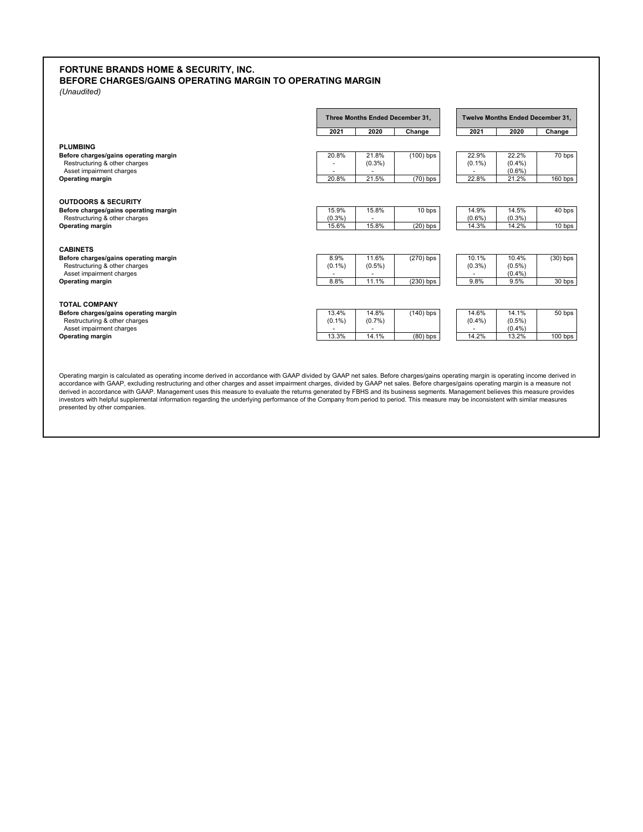# **FORTUNE BRANDS HOME & SECURITY, INC.** *(Unaudited)* **BEFORE CHARGES/GAINS OPERATING MARGIN TO OPERATING MARGIN**

|                                       |           | Three Months Ended December 31. |             | Twelve Months Ended December 31, |           |            |  |  |  |
|---------------------------------------|-----------|---------------------------------|-------------|----------------------------------|-----------|------------|--|--|--|
|                                       | 2021      | 2020                            | Change      | 2021                             | 2020      | Change     |  |  |  |
| <b>PLUMBING</b>                       |           |                                 |             |                                  |           |            |  |  |  |
| Before charges/gains operating margin | 20.8%     | 21.8%                           | $(100)$ bps | 22.9%                            | 22.2%     | 70 bps     |  |  |  |
| Restructuring & other charges         |           | $(0.3\%)$                       |             | $(0.1\%)$                        | $(0.4\%)$ |            |  |  |  |
| Asset impairment charges              |           |                                 |             |                                  | $(0.6\%)$ |            |  |  |  |
| Operating margin                      | 20.8%     | 21.5%                           | $(70)$ bps  | 22.8%                            | 21.2%     | 160 bps    |  |  |  |
|                                       |           |                                 |             |                                  |           |            |  |  |  |
| <b>OUTDOORS &amp; SECURITY</b>        |           |                                 |             |                                  |           |            |  |  |  |
| Before charges/gains operating margin | 15.9%     | 15.8%                           | 10 bps      | 14.9%                            | 14.5%     | 40 bps     |  |  |  |
| Restructuring & other charges         | $(0.3\%)$ |                                 |             | $(0.6\%)$                        | $(0.3\%)$ |            |  |  |  |
| Operating margin                      | 15.6%     | 15.8%                           | $(20)$ bps  | 14.3%                            | 14.2%     | 10 bps     |  |  |  |
|                                       |           |                                 |             |                                  |           |            |  |  |  |
| <b>CABINETS</b>                       |           |                                 |             |                                  |           |            |  |  |  |
| Before charges/gains operating margin | 8.9%      | 11.6%                           | $(270)$ bps | 10.1%                            | 10.4%     | $(30)$ bps |  |  |  |
| Restructuring & other charges         | $(0.1\%)$ | $(0.5\%)$                       |             | $(0.3\%)$                        | $(0.5\%)$ |            |  |  |  |
| Asset impairment charges              | 8.8%      | 11.1%                           |             |                                  | (0.4% )   |            |  |  |  |
| Operating margin                      |           |                                 | $(230)$ bps | 9.8%                             | 9.5%      | 30 bps     |  |  |  |
|                                       |           |                                 |             |                                  |           |            |  |  |  |
| <b>TOTAL COMPANY</b>                  |           |                                 |             |                                  |           |            |  |  |  |
| Before charges/gains operating margin | 13.4%     | 14.8%                           | $(140)$ bps | 14.6%                            | 14.1%     | 50 bps     |  |  |  |
| Restructuring & other charges         | $(0.1\%)$ | $(0.7\%)$                       |             | $(0.4\%)$                        | $(0.5\%)$ |            |  |  |  |
| Asset impairment charges              |           |                                 |             |                                  | (0.4% )   |            |  |  |  |
| Operating margin                      | 13.3%     | 14.1%                           | $(80)$ bps  | 14.2%                            | 13.2%     | $100$ bps  |  |  |  |

Operating margin is calculated as operating income derived in accordance with GAAP divided by GAAP net sales. Before charges/gains operating margin is operating income derived in<br>accordance with GAAP, excluding restructuri presented by other companies.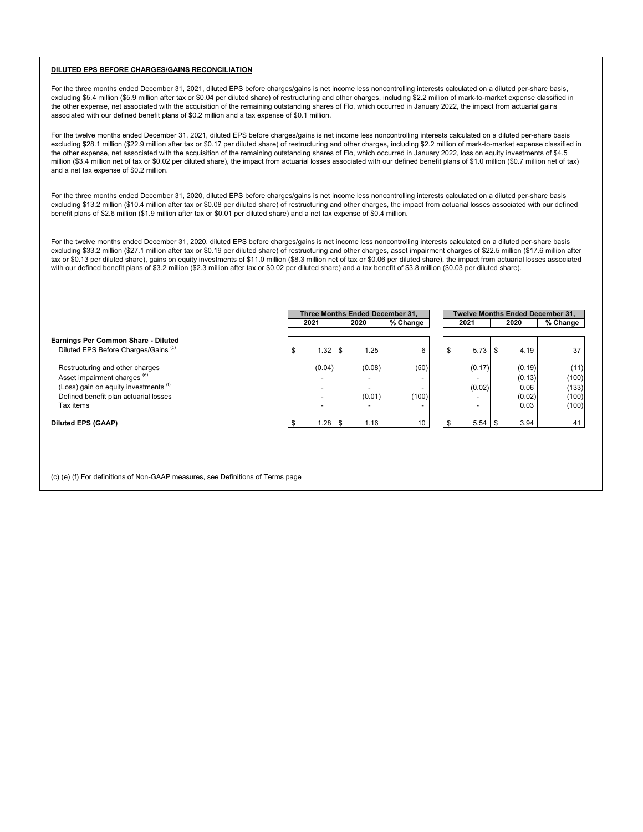#### **DILUTED EPS BEFORE CHARGES/GAINS RECONCILIATION**

For the three months ended December 31, 2021, diluted EPS before charges/gains is net income less noncontrolling interests calculated on a diluted per-share basis, excluding \$5.4 million (\$5.9 million after tax or \$0.04 per diluted share) of restructuring and other charges, including \$2.2 million of mark-to-market expense classified in the other expense, net associated with the acquisition of the remaining outstanding shares of Flo, which occurred in January 2022, the impact from actuarial gains associated with our defined benefit plans of \$0.2 million and a tax expense of \$0.1 million.

For the twelve months ended December 31, 2021, diluted EPS before charges/gains is net income less noncontrolling interests calculated on a diluted per-share basis excluding \$28.1 million (\$22.9 million after tax or \$0.17 per diluted share) of restructuring and other charges, including \$2.2 million of mark-to-market expense classified in the other expense, net associated with the acquisition of the remaining outstanding shares of Flo, which occurred in January 2022, loss on equity investments of \$4.5 million (\$3.4 million net of tax or \$0.02 per diluted share), the impact from actuarial losses associated with our defined benefit plans of \$1.0 million (\$0.7 million net of tax) and a net tax expense of \$0.2 million.

For the three months ended December 31, 2020, diluted EPS before charges/gains is net income less noncontrolling interests calculated on a diluted per-share basis excluding \$13.2 million (\$10.4 million after tax or \$0.08 per diluted share) of restructuring and other charges, the impact from actuarial losses associated with our defined benefit plans of \$2.6 million (\$1.9 million after tax or \$0.01 per diluted share) and a net tax expense of \$0.4 million.

For the twelve months ended December 31, 2020, diluted EPS before charges/gains is net income less noncontrolling interests calculated on a diluted per-share basis excluding \$33.2 million (\$27.1 million after tax or \$0.19 per diluted share) of restructuring and other charges, asset impairment charges of \$22.5 million (\$17.6 million after tax or \$0.13 per diluted share), gains on equity investments of \$11.0 million (\$8.3 million net of tax or \$0.06 per diluted share), the impact from actuarial losses associated with our defined benefit plans of \$3.2 million (\$2.3 million after tax or \$0.02 per diluted share) and a tax benefit of \$3.8 million (\$0.03 per diluted share).

|                                                                                               | Three Months Ended December 31.                      |  |                                    |           |   | <b>Twelve Months Ended December 31.</b> |    |                  |                |
|-----------------------------------------------------------------------------------------------|------------------------------------------------------|--|------------------------------------|-----------|---|-----------------------------------------|----|------------------|----------------|
|                                                                                               | 2021                                                 |  | 2020                               | % Change  |   | 2021                                    |    | 2020             | % Change       |
| <b>Earnings Per Common Share - Diluted</b><br>Diluted EPS Before Charges/Gains <sup>(c)</sup> | 1.32                                                 |  | 1.25                               | 6         | æ | 5.73                                    | £. | 4.19             | 37             |
| Restructuring and other charges<br>Asset impairment charges (e)                               | (0.04)<br>-                                          |  | (0.08)<br>$\overline{\phantom{0}}$ | (50)<br>- |   | (0.17)<br>$\overline{\phantom{0}}$      |    | (0.19)<br>(0.13) | (11)<br>(100)  |
| (Loss) gain on equity investments (f)<br>Defined benefit plan actuarial losses                | $\overline{\phantom{a}}$<br>$\overline{\phantom{0}}$ |  | $\overline{\phantom{a}}$<br>(0.01) | (100)     |   | (0.02)<br>$\overline{\phantom{0}}$      |    | 0.06<br>(0.02)   | (133)<br>(100) |
| Tax items                                                                                     | -<br>1.28                                            |  | $\overline{\phantom{a}}$<br>1.16   | 10        |   | 5.54                                    |    | 0.03<br>3.94     | (100)<br>41    |
| <b>Diluted EPS (GAAP)</b>                                                                     |                                                      |  |                                    |           |   |                                         |    |                  |                |

(c) (e) (f) For definitions of Non-GAAP measures, see Definitions of Terms page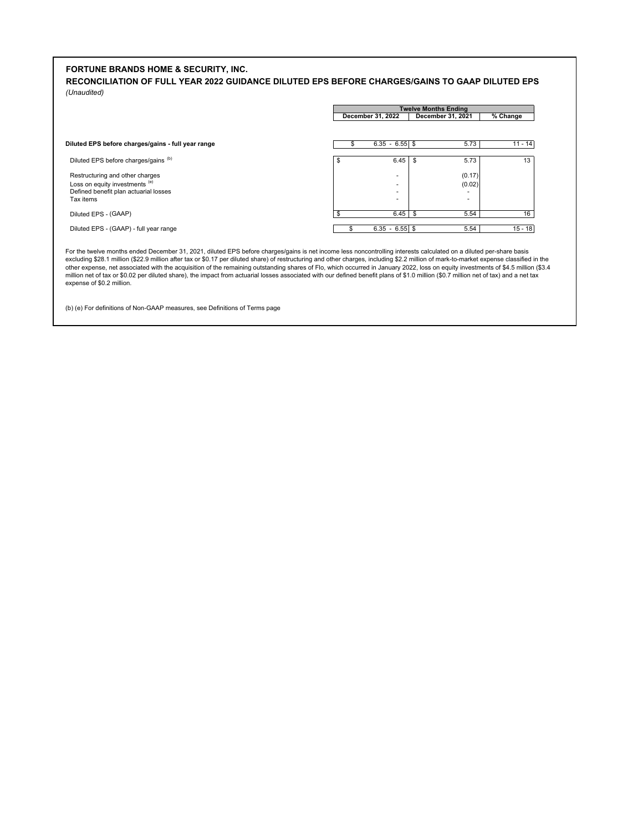# **FORTUNE BRANDS HOME & SECURITY, INC.**

**RECONCILIATION OF FULL YEAR 2022 GUIDANCE DILUTED EPS BEFORE CHARGES/GAINS TO GAAP DILUTED EPS** *(Unaudited)*

|           | <b>Twelve Months Ending</b>                                    |                          |  |  |  |  |
|-----------|----------------------------------------------------------------|--------------------------|--|--|--|--|
| % Change  | December 31, 2021                                              | December 31, 2022        |  |  |  |  |
|           |                                                                |                          |  |  |  |  |
| $11 - 14$ | 5.73                                                           | $6.35 - 6.55$ \$         |  |  |  |  |
| 13        | 5.73                                                           | 6.45                     |  |  |  |  |
|           | (0.17)                                                         | ۰                        |  |  |  |  |
|           | (0.02)<br>$\overline{\phantom{a}}$<br>$\overline{\phantom{a}}$ | ۰                        |  |  |  |  |
| 16        |                                                                |                          |  |  |  |  |
|           | 5.54<br>-S<br>5.54                                             | 6.45<br>$6.35 - 6.55$ \$ |  |  |  |  |

For the twelve months ended December 31, 2021, diluted EPS before charges/gains is net income less noncontrolling interests calculated on a diluted per-share basis<br>excluding \$28.1 million (\$22.9 million after tax or \$0.17 expense of \$0.2 million.

(b) (e) For definitions of Non-GAAP measures, see Definitions of Terms page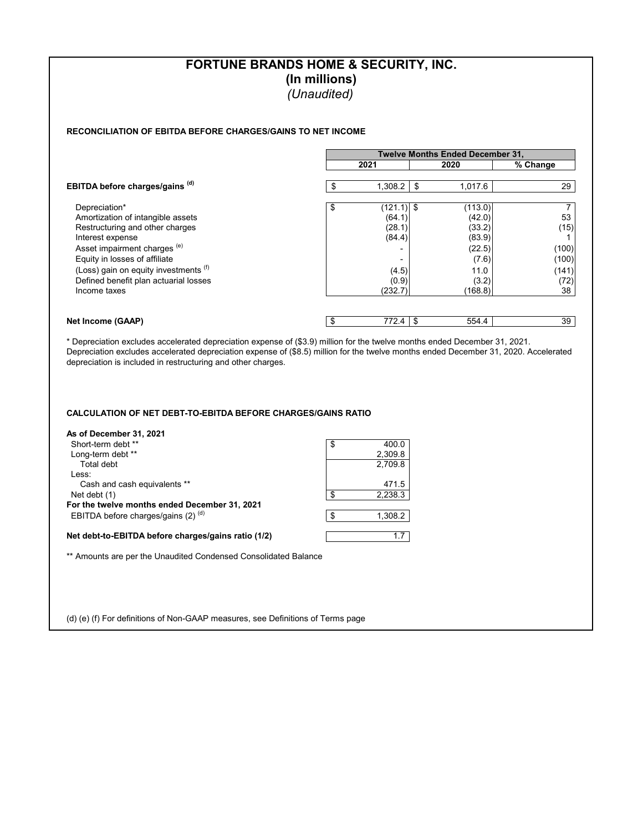# **FORTUNE BRANDS HOME & SECURITY, INC. (In millions)** *(Unaudited)*

# **RECONCILIATION OF EBITDA BEFORE CHARGES/GAINS TO NET INCOME**

|                                                                                                                                                                                                                                                                              |      | <b>Twelve Months Ended December 31.</b>                                |    |                                                                                      |                                                     |  |  |  |  |  |
|------------------------------------------------------------------------------------------------------------------------------------------------------------------------------------------------------------------------------------------------------------------------------|------|------------------------------------------------------------------------|----|--------------------------------------------------------------------------------------|-----------------------------------------------------|--|--|--|--|--|
|                                                                                                                                                                                                                                                                              |      | 2021                                                                   |    | 2020                                                                                 | % Change                                            |  |  |  |  |  |
| EBITDA before charges/gains (d)                                                                                                                                                                                                                                              |      | 1,308.2                                                                | \$ | 1,017.6                                                                              | 29                                                  |  |  |  |  |  |
| Depreciation*<br>Amortization of intangible assets<br>Restructuring and other charges<br>Interest expense<br>Asset impairment charges (e)<br>Equity in losses of affiliate<br>(Loss) gain on equity investments (f)<br>Defined benefit plan actuarial losses<br>Income taxes | - \$ | (121.1)  \$<br>(64.1)<br>(28.1)<br>(84.4)<br>(4.5)<br>(0.9)<br>(232.7) |    | (113.0)<br>(42.0)<br>(33.2)<br>(83.9)<br>(22.5)<br>(7.6)<br>11.0<br>(3.2)<br>(168.8) | 53<br>(15)<br>(100)<br>(100)<br>(141)<br>(72)<br>38 |  |  |  |  |  |
| Net Income (GAAP)                                                                                                                                                                                                                                                            |      | 772.4                                                                  | £. | 554.4                                                                                | 39                                                  |  |  |  |  |  |

\* Depreciation excludes accelerated depreciation expense of (\$3.9) million for the twelve months ended December 31, 2021. Depreciation excludes accelerated depreciation expense of (\$8.5) million for the twelve months ended December 31, 2020. Accelerated depreciation is included in restructuring and other charges.

### **CALCULATION OF NET DEBT-TO-EBITDA BEFORE CHARGES/GAINS RATIO**

| As of December 31, 2021                                         |               |
|-----------------------------------------------------------------|---------------|
| Short-term debt **                                              | \$<br>400.0   |
| Long-term debt **                                               | 2.309.8       |
| Total debt                                                      | 2,709.8       |
| Less:                                                           |               |
| Cash and cash equivalents **                                    | 471.5         |
| Net debt (1)                                                    | \$<br>2,238.3 |
| For the twelve months ended December 31, 2021                   |               |
| EBITDA before charges/gains (2) $(d)$                           | \$<br>1.308.2 |
| Net debt-to-EBITDA before charges/gains ratio (1/2)             | 17            |
| ** Amounts are per the Unaudited Condensed Consolidated Balance |               |

(d) (e) (f) For definitions of Non-GAAP measures, see Definitions of Terms page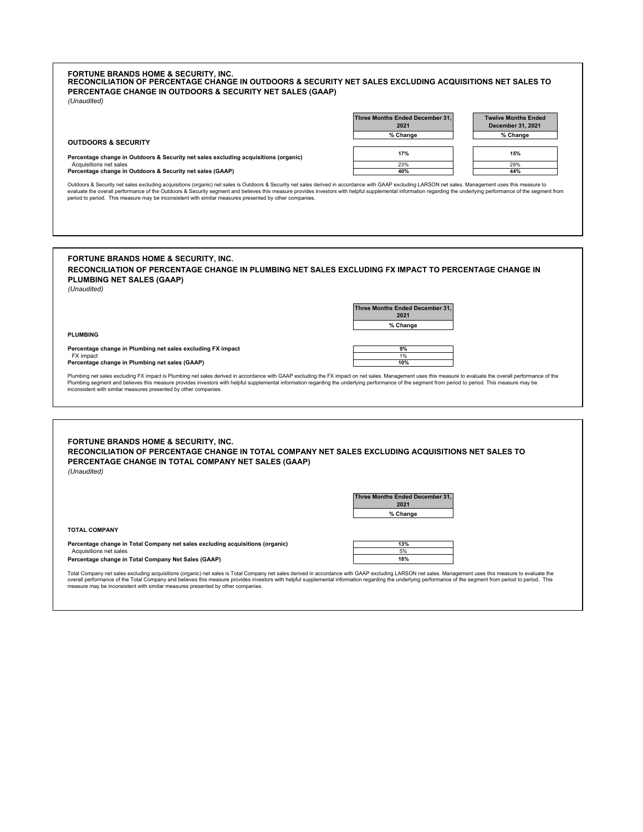|                                                                                                                                                                                                                                                                                                                                                                                                                                                                                                                                    | Three Months Ended December 31,         | <b>Twelve Months Ended</b> |
|------------------------------------------------------------------------------------------------------------------------------------------------------------------------------------------------------------------------------------------------------------------------------------------------------------------------------------------------------------------------------------------------------------------------------------------------------------------------------------------------------------------------------------|-----------------------------------------|----------------------------|
|                                                                                                                                                                                                                                                                                                                                                                                                                                                                                                                                    | 2021                                    | December 31, 2021          |
| <b>OUTDOORS &amp; SECURITY</b>                                                                                                                                                                                                                                                                                                                                                                                                                                                                                                     | % Change                                | % Change                   |
|                                                                                                                                                                                                                                                                                                                                                                                                                                                                                                                                    | 17%                                     | 15%                        |
| Percentage change in Outdoors & Security net sales excluding acquisitions (organic)<br>Acquisitions net sales                                                                                                                                                                                                                                                                                                                                                                                                                      | 23%                                     | 29%                        |
| Percentage change in Outdoors & Security net sales (GAAP)                                                                                                                                                                                                                                                                                                                                                                                                                                                                          | 40%                                     | 44%                        |
| Outdoors & Security net sales excluding acquisitions (organic) net sales is Outdoors & Security net sales derived in accordance with GAAP excluding LARSON net sales. Management uses this measure to<br>evaluate the overall performance of the Outdoors & Security segment and believes this measure provides investors with helpful supplemental information regarding the underlying performance of the segment from<br>period to period. This measure may be inconsistent with similar measures presented by other companies. |                                         |                            |
| <b>FORTUNE BRANDS HOME &amp; SECURITY, INC.</b><br>RECONCILIATION OF PERCENTAGE CHANGE IN PLUMBING NET SALES EXCLUDING FX IMPACT TO PERCENTAGE CHANGE IN<br><b>PLUMBING NET SALES (GAAP)</b>                                                                                                                                                                                                                                                                                                                                       |                                         |                            |
| (Unaudited)                                                                                                                                                                                                                                                                                                                                                                                                                                                                                                                        |                                         |                            |
|                                                                                                                                                                                                                                                                                                                                                                                                                                                                                                                                    |                                         |                            |
|                                                                                                                                                                                                                                                                                                                                                                                                                                                                                                                                    | Three Months Ended December 31,         |                            |
|                                                                                                                                                                                                                                                                                                                                                                                                                                                                                                                                    | 2021                                    |                            |
|                                                                                                                                                                                                                                                                                                                                                                                                                                                                                                                                    | % Change                                |                            |
| <b>PLUMBING</b>                                                                                                                                                                                                                                                                                                                                                                                                                                                                                                                    |                                         |                            |
| Percentage change in Plumbing net sales excluding FX impact<br>FX impact                                                                                                                                                                                                                                                                                                                                                                                                                                                           | 9%<br>1%                                |                            |
| Percentage change in Plumbing net sales (GAAP)                                                                                                                                                                                                                                                                                                                                                                                                                                                                                     | 10%                                     |                            |
| Plumbing net sales excluding FX impact is Plumbing net sales derived in accordance with GAAP excluding the FX impact on net sales. Management uses this measure to evaluate the overall performance of the<br>Plumbing segment and believes this measure provides investors with helpful supplemental information regarding the underlying performance of the segment from period to period. This measure may be<br>inconsistent with similar measures presented by other companies.                                               |                                         |                            |
|                                                                                                                                                                                                                                                                                                                                                                                                                                                                                                                                    |                                         |                            |
| <b>FORTUNE BRANDS HOME &amp; SECURITY, INC.</b><br>RECONCILIATION OF PERCENTAGE CHANGE IN TOTAL COMPANY NET SALES EXCLUDING ACQUISITIONS NET SALES TO<br>PERCENTAGE CHANGE IN TOTAL COMPANY NET SALES (GAAP)<br>(Unaudited)                                                                                                                                                                                                                                                                                                        |                                         |                            |
|                                                                                                                                                                                                                                                                                                                                                                                                                                                                                                                                    |                                         |                            |
|                                                                                                                                                                                                                                                                                                                                                                                                                                                                                                                                    | Three Months Ended December 31,<br>2021 |                            |
|                                                                                                                                                                                                                                                                                                                                                                                                                                                                                                                                    | % Change                                |                            |
|                                                                                                                                                                                                                                                                                                                                                                                                                                                                                                                                    |                                         |                            |
| <b>TOTAL COMPANY</b><br>Percentage change in Total Company net sales excluding acquisitions (organic)                                                                                                                                                                                                                                                                                                                                                                                                                              | 13%                                     |                            |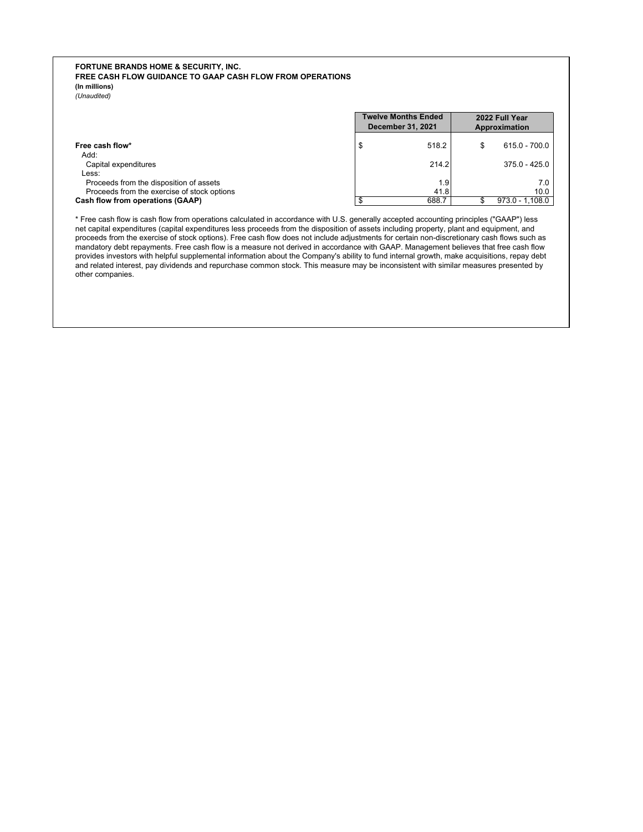### **FORTUNE BRANDS HOME & SECURITY, INC. (In millions) FREE CASH FLOW GUIDANCE TO GAAP CASH FLOW FROM OPERATIONS**

*(Unaudited)*

|                                             | <b>Twelve Months Ended</b><br><b>December 31, 2021</b> | 2022 Full Year<br>Approximation |                   |  |
|---------------------------------------------|--------------------------------------------------------|---------------------------------|-------------------|--|
| Free cash flow*                             | \$<br>518.2                                            |                                 | 615.0 - 700.0     |  |
| Add:                                        |                                                        |                                 |                   |  |
| Capital expenditures                        | 214.2                                                  |                                 | $375.0 - 425.0$   |  |
| Less:                                       |                                                        |                                 |                   |  |
| Proceeds from the disposition of assets     | 1.9                                                    |                                 | 7.0               |  |
| Proceeds from the exercise of stock options | 41.8                                                   |                                 | 10.0              |  |
| Cash flow from operations (GAAP)            | \$<br>688.7                                            |                                 | $973.0 - 1,108.0$ |  |

\* Free cash flow is cash flow from operations calculated in accordance with U.S. generally accepted accounting principles ("GAAP") less net capital expenditures (capital expenditures less proceeds from the disposition of assets including property, plant and equipment, and proceeds from the exercise of stock options). Free cash flow does not include adjustments for certain non-discretionary cash flows such as mandatory debt repayments. Free cash flow is a measure not derived in accordance with GAAP. Management believes that free cash flow provides investors with helpful supplemental information about the Company's ability to fund internal growth, make acquisitions, repay debt and related interest, pay dividends and repurchase common stock. This measure may be inconsistent with similar measures presented by other companies.